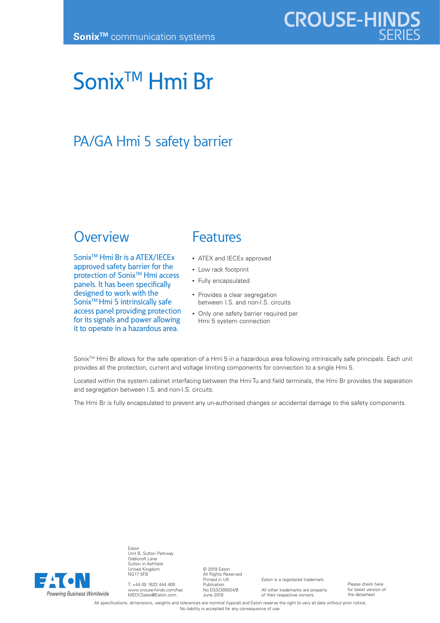# Sonix<sup>™</sup> Hmi Br

## PA/GA Hmi 5 safety barrier

### **Overview**

Sonix<sup>™</sup> Hmi Br is a ATEX/IECEx approved safety barrier for the protection of Sonix<sup>™</sup> Hmi access panels. It has been specifically designed to work with the Sonix<sup>™</sup> Hmi 5 intrinsically safe access panel providing protection for its signals and power allowing it to operate in a hazardous area.

## Features

- ATEX and IECEx approved
- Low rack footprint
- Fully encapsulated
- Provides a clear segregation between I.S. and non-I.S. circuits
- Only one safety barrier required per Hmi 5 system connection

Sonix™ Hmi Br allows for the safe operation of a Hmi 5 in a hazardous area following intrinsically safe principals. Each unit provides all the protection, current and voltage limiting components for connection to a single Hmi 5.

Located within the system cabinet interfacing between the Hmi Tu and field terminals, the Hmi Br provides the separation and segregation between I.S. and non-I.S. circuits.

The Hmi Br is fully encapsulated to prevent any un-authorised changes or accidental damage to the safety components.



Eaton Unit B, Sutton Parkway Oddicroft Lane Sutton in Ashfield United Kingdom NG17 5FB

T: +44 (0) 1623 444 400 www.crouse-hinds.com/hac MEDCSales@Eaton.com

© 2019 Eaton All Rights Reserved Printed in UK Publication No.DSSO00024/B June 2019

Eaton is a registered trademark.

All other trademarks are property of their respective owners.

Please check here for latest version of the datasheet

All specifications, dimensions, weights and tolerances are nominal (typical) and Eaton reserve the right to vary all data without prior notice. No liability is accepted for any consequence of use.